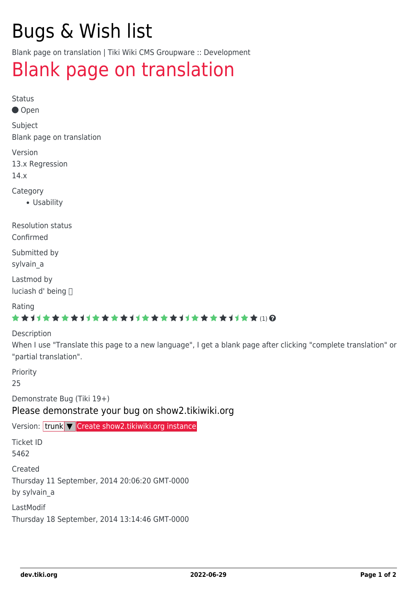# Bugs & Wish list

Blank page on translation | Tiki Wiki CMS Groupware :: Development

## [Blank page on translation](https://dev.tiki.org/item5462-Blank-page-on-translation)

Status

● Open

Subject Blank page on translation

Version

13.x Regression

14.x

Category

Usability

Resolution status Confirmed

Submitted by

sylvain a

Lastmod by luciash d' being

Rating

#### \*\*\*\*\*\*\*\*\*\*\*\*\*\*\*\*\*\*\*\*\*\*\*\*\*\*\*\*\*\*

Description

When I use "Translate this page to a new language", I get a blank page after clicking "complete translation" or "partial translation".

Priority

25

Demonstrate Bug (Tiki 19+)

Please demonstrate your bug on show2.tikiwiki.org

Version: trunk ▼ [Create show2.tikiwiki.org instance](#page--1-0)

Ticket ID

5462

Created

Thursday 11 September, 2014 20:06:20 GMT-0000

by sylvain\_a

LastModif

Thursday 18 September, 2014 13:14:46 GMT-0000